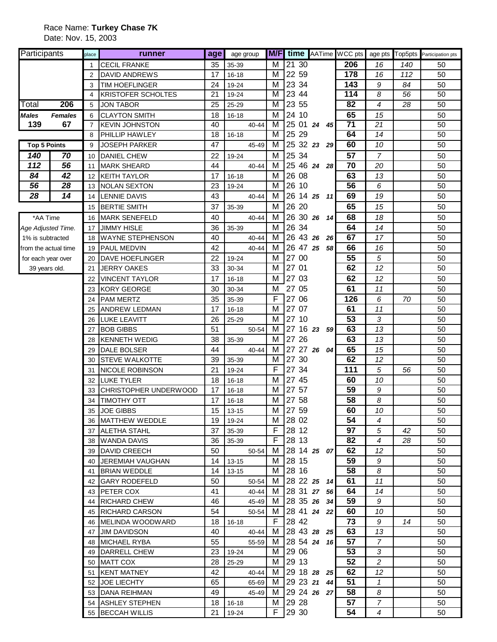| Participants         |                | place          | runner                                     | age      | age group           |        |                   |             |    | <b>M/F</b> time AATime WCC pts | age pts        |     | Top5pts Participation pts |
|----------------------|----------------|----------------|--------------------------------------------|----------|---------------------|--------|-------------------|-------------|----|--------------------------------|----------------|-----|---------------------------|
|                      |                | $\mathbf{1}$   | <b>CECIL FRANKE</b>                        | 35       | 35-39               | M      | 2130              |             |    | 206                            | 16             | 140 | 50                        |
|                      |                | $\overline{2}$ | <b>DAVID ANDREWS</b>                       | 17       | $16 - 18$           | м      | 22 59             |             |    | 178                            | 16             | 112 | 50                        |
|                      |                | 3              | <b>TIM HOEFLINGER</b>                      | 24       | 19-24               | м      | 23 34             |             |    | 143                            | 9              | 84  | 50                        |
|                      |                | 4              | <b>KRISTOFER SCHOLTES</b>                  | 21       | 19-24               | M      | 23 44             |             |    | 114                            | 8              | 56  | 50                        |
| Total                | 206            | 5              | <b>JON TABOR</b>                           | 25       | 25-29               | M      | 23 55             |             |    | 82                             | $\overline{4}$ | 28  | 50                        |
| <b>Males</b>         | <b>Females</b> | 6              | <b>CLAYTON SMITH</b>                       | 18       | 16-18               | M      | 24 10             |             |    | 65                             | 15             |     | 50                        |
| 139                  | 67             | $\overline{7}$ | <b>KEVIN JOHNSTON</b>                      | 40       | 40-44               | м      |                   | 25 01 24 45 |    | $\overline{71}$                | 21             |     | 50                        |
|                      |                | 8              | <b>PHILLIP HAWLEY</b>                      | 18       | 16-18               | M      | 25 29             |             |    | 64                             | 14             |     | 50                        |
| <b>Top 5 Points</b>  |                | 9              | <b>JOSEPH PARKER</b>                       | 47       | 45-49               | M      |                   | 25 32 23 29 |    | 60                             | 10             |     | 50                        |
| 140                  | 70             | 10             | <b>DANIEL CHEW</b>                         | 22       | 19-24               | м      | 25 34             |             |    | 57                             | $\overline{7}$ |     | 50                        |
| 112                  | 56             | 11             | <b>MARK SHEARD</b>                         | 44       | 40-44               | м      | 25 46 24          |             | 28 | 70                             | 20             |     | 50                        |
| 84                   | 42             | 12             | <b>KEITH TAYLOR</b>                        | 17       | 16-18               | м      | 26 08             |             |    | 63                             | 13             |     | 50                        |
| 56                   | 28             | 13             | <b>NOLAN SEXTON</b>                        | 23       | 19-24               | м      | 26 10             |             |    | 56                             | 6              |     | 50                        |
| 28                   | 14             | 14             | <b>LENNIE DAVIS</b>                        | 43       | 40-44               | м      | 26 14 25          |             | 11 | 69                             | 19             |     | 50                        |
|                      |                | 15             | <b>BERTIE SMITH</b>                        | 37       | 35-39               | M      | 26 20             |             |    | 65                             | 15             |     | 50                        |
| *AA Time             |                | 16             | <b>MARK SENEFELD</b>                       | 40       | 40-44               | M      | 26 30 26          |             | 14 | 68                             | 18             |     | 50                        |
| Age Adjusted Time.   |                | 17             | <b>JIMMY HISLE</b>                         | 36       | 35-39               | м      | 26 34             |             |    | 64                             | 14             |     | 50                        |
| 1% is subtracted     |                | 18             | <b>WAYNE STEPHENSON</b>                    | 40       | 40-44               | м      | 26 43 26          |             | 26 | 67                             | 17             |     | 50                        |
| from the actual time |                | 19             | <b>PAUL MEDVIN</b>                         | 42       | 40-44               | м      |                   | 26 47 25 58 |    | 66                             | 16             |     | 50                        |
| for each year over   |                | 20             | <b>DAVE HOEFLINGER</b>                     | 22       | 19-24               | M      | 27 00             |             |    | 55                             | 5              |     | 50                        |
| 39 years old.        |                | 21             | <b>JERRY OAKES</b>                         | 33       | 30-34               | M      | 27 01             |             |    | 62                             | 12             |     | 50                        |
|                      |                | 22             | <b>VINCENT TAYLOR</b>                      | 17       | $16 - 18$           | M      | 27 03             |             |    | 62                             | 12             |     | 50                        |
|                      |                | 23             | <b>KORY GEORGE</b>                         | 30       | 30-34               | м      | 27 05             |             |    | 61                             | 11             |     | 50                        |
|                      |                | 24             | <b>PAM MERTZ</b>                           | 35       | 35-39               | F      | 27 06             |             |    | 126                            | 6              | 70  | 50                        |
|                      |                | 25             | <b>ANDREW LEDMAN</b>                       | 17       | $16 - 18$           | M      | 27 07             |             |    | 61                             | 11             |     | 50                        |
|                      |                | 26             | <b>LUKE LEAVITT</b>                        | 26<br>51 | 25-29               | M<br>м | 27 10<br>27 16 23 |             |    | 53<br>63                       | 3<br>13        |     | 50<br>50                  |
|                      |                | 27             | <b>BOB GIBBS</b>                           |          | 50-54               | M      | 27 26             |             | 59 | 63                             |                |     |                           |
|                      |                | 28<br>29       | <b>KENNETH WEDIG</b><br><b>DALE BOLSER</b> | 38<br>44 | 35-39<br>40-44      | м      | 27 27 26          |             | 04 | 65                             | 13<br>15       |     | 50<br>50                  |
|                      |                | 30             | <b>STEVE WALKOTTE</b>                      | 39       | 35-39               | M      | 27 30             |             |    | 62                             | 12             |     | 50                        |
|                      |                | 31             | NICOLE ROBINSON                            | 21       | 19-24               | F      | 27 34             |             |    | 111                            | 5              | 56  | 50                        |
|                      |                | 32             | <b>LUKE TYLER</b>                          | 18       | 16-18               | м      | 27 45             |             |    | 60                             | 10             |     | 50                        |
|                      |                | 33             | CHRISTOPHER UNDERWOOD                      | 17       | $16 - 18$           | M      | 27 57             |             |    | 59                             | 9              |     | 50                        |
|                      |                | 34             | <b>TIMOTHY OTT</b>                         | 17       | $16 - 18$           | M      | 27 58             |             |    | 58                             | 8              |     | 50                        |
|                      |                | 35             | <b>JOE GIBBS</b>                           | 15       | $13 - 15$           |        | M 27 59           |             |    | 60                             | 10             |     | 50                        |
|                      |                |                | 36 MATTHEW WEDDLE                          | 19       | 19-24               |        | M 28 02           |             |    | 54                             | 4              |     | 50                        |
|                      |                |                | 37 ALETHA STAHL                            | 37       | 35-39               | F.     | 28 12             |             |    | 97                             | 5              | 42  | 50                        |
|                      |                |                | 38 WANDA DAVIS                             | 36       | 35-39               | F.     | 28 13             |             |    | 82                             | $\overline{4}$ | 28  | 50                        |
|                      |                |                | 39 DAVID CREECH                            | 50       | 50-54               | M      |                   | 28 14 25 07 |    | 62                             | 12             |     | 50                        |
|                      |                |                | 40 JEREMIAH VAUGHAN                        | 14       | 13-15               | M      | 28 15             |             |    | 59                             | 9              |     | 50                        |
|                      |                |                | 41 BRIAN WEDDLE                            | 14       | $13 - 15$           | M      | 28 16             |             |    | 58                             | 8              |     | 50                        |
|                      |                |                | 42 IGARY RODEFELD                          | 50       | 50-54               | M      | 28 22 25 14       |             |    | 61                             | 11             |     | 50                        |
|                      |                |                | 43 PETER COX                               | 41       | 40-44 M 28 31 27 56 |        |                   |             |    | 64                             | 14             |     | 50                        |
|                      |                |                | 44 RICHARD CHEW                            | 46       | 45-49               | M      | 28 35 26 34       |             |    | 59                             | 9              |     | 50                        |
|                      |                |                | 45 RICHARD CARSON                          | 54       | 50-54               | M      |                   | 28 41 24 22 |    | 60                             | 10             |     | 50                        |
|                      |                |                | 46 MELINDA WOODWARD                        |          | 18   16-18          | F.     | 28 42             |             |    | 73                             | 9              | 14  | 50                        |
|                      |                |                | 47 JIM DAVIDSON                            | 40       | 40-44               | M      | 28 43 28 25       |             |    | 63                             | 13             |     | 50                        |
|                      |                |                | 48 MICHAEL RYBA                            | 55       | 55-59               | M      |                   | 28 54 24 16 |    | 57                             | $\mathcal{I}$  |     | 50                        |
|                      |                |                | 49 DARRELL CHEW                            |          | 23 19-24            | M      | 29 06             |             |    | 53                             | 3              |     | 50                        |
|                      |                |                | 50 MATT COX                                | 28       | 25-29               | M      | 29 13             |             |    | 52                             | $\overline{a}$ |     | 50                        |
|                      |                |                | 51 KENT MATNEY                             | 42       | 40-44               | M      |                   | 29 18 28 25 |    | 62                             | 12             |     | 50                        |
|                      |                |                | 52 JOE LIECHTY                             | 65       | 65-69               | M      |                   | 29 23 21 44 |    | 51                             | $\mathbf{1}$   |     | 50                        |
|                      |                |                | 53 DANA REIHMAN                            | 49       | 45-49               | M      |                   | 29 24 26 27 |    | 58                             | 8              |     | 50                        |
|                      |                |                | 54 ASHLEY STEPHEN                          |          | $18$   16-18        | M      | 29 28             |             |    | 57                             | $\overline{7}$ |     | 50                        |
|                      |                |                | 55 BECCAH WILLIS                           |          | 21 19-24            | F.     | 29 30             |             |    | 54                             | $\overline{4}$ |     | 50                        |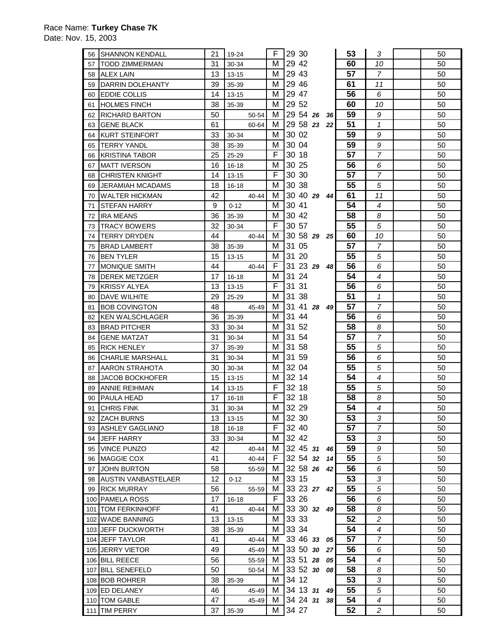| 56 | <b>SHANNON KENDALL</b>  | 21 | 19-24     | F  | 29 30       |                 | 53 | 3                       | 50 |
|----|-------------------------|----|-----------|----|-------------|-----------------|----|-------------------------|----|
|    |                         |    |           |    |             |                 |    |                         |    |
| 57 | <b>TODD ZIMMERMAN</b>   | 31 | 30-34     | м  | 29 42       |                 | 60 | 10                      | 50 |
|    | 58 ALEX LAIN            | 13 | $13 - 15$ | м  | 29 43       |                 | 57 | $\overline{7}$          | 50 |
| 59 | DARRIN DOLEHANTY        | 39 | 35-39     | М  | 29 46       |                 | 61 | 11                      | 50 |
| 60 | EDDIE COLLIS            | 14 | $13 - 15$ | м  | 29 47       |                 | 56 | 6                       | 50 |
| 61 | <b>HOLMES FINCH</b>     | 38 | 35-39     | м  | 29 52       |                 | 60 | 10                      | 50 |
| 62 | RICHARD BARTON          | 50 | 50-54     | м  | 29 54 26    | 36              | 59 | 9                       | 50 |
| 63 | <b>GENE BLACK</b>       | 61 | 60-64     | м  | 29 58 23    | 22              | 51 | $\mathcal I$            | 50 |
| 64 | <b>IKURT STEINFORT</b>  | 33 | 30-34     | м  | 30 02       |                 | 59 | 9                       | 50 |
| 65 | <b>TERRY YANDL</b>      | 38 | 35-39     | м  | 30 04       |                 | 59 | 9                       | 50 |
| 66 | <b>KRISTINA TABOR</b>   | 25 | 25-29     | F  | 30 18       |                 | 57 | $\overline{7}$          | 50 |
| 67 | <b>MATT IVERSON</b>     | 16 | 16-18     | м  | 30 25       |                 | 56 | 6                       | 50 |
| 68 | <b>CHRISTEN KNIGHT</b>  | 14 | $13 - 15$ | F  | 30 30       |                 | 57 | 7                       | 50 |
|    |                         | 18 |           | м  | 30 38       |                 | 55 | 5                       | 50 |
| 69 | <b>JERAMIAH MCADAMS</b> |    | $16 - 18$ |    |             |                 |    |                         |    |
| 70 | <b>WALTER HICKMAN</b>   | 42 | 40-44     | м  | 30 40 29    | 44              | 61 | 11                      | 50 |
| 71 | STEFAN HARRY            | 9  | $0 - 12$  | м  | 30 41       |                 | 54 | $\overline{4}$          | 50 |
| 72 | <b>IRA MEANS</b>        | 36 | 35-39     | м  | 30 42       |                 | 58 | 8                       | 50 |
| 73 | TRACY BOWERS            | 32 | 30-34     | F. | 30 57       |                 | 55 | 5                       | 50 |
| 74 | TERRY DRYDEN            | 44 | 40-44     | м  | 30 58 29    | 25 <sub>1</sub> | 60 | 10                      | 50 |
| 75 | <b>IBRAD LAMBERT</b>    | 38 | 35-39     | м  | 31 05       |                 | 57 | $\overline{7}$          | 50 |
| 76 | <b>BEN TYLER</b>        | 15 | $13 - 15$ | м  | 31 20       |                 | 55 | 5                       | 50 |
| 77 | <b>MONIQUE SMITH</b>    | 44 | 40-44     | F. | 31 23 29    | 48              | 56 | 6                       | 50 |
|    | 78 DEREK METZGER        | 17 | 16-18     | м  | 31 24       |                 | 54 | $\overline{4}$          | 50 |
| 79 | <b>KRISSY ALYEA</b>     | 13 | $13 - 15$ | F  | 31 31       |                 | 56 | 6                       | 50 |
| 80 | <b>DAVE WILHITE</b>     | 29 | 25-29     | м  | 31 38       |                 | 51 | $\mathcal I$            | 50 |
| 81 | <b>BOB COVINGTON</b>    | 48 | 45-49     | м  | 31 41 28    | 49              | 57 | $\overline{7}$          | 50 |
| 82 | <b>KEN WALSCHLAGER</b>  | 36 | 35-39     | м  | 31 44       |                 | 56 | 6                       | 50 |
| 83 | <b>BRAD PITCHER</b>     | 33 | 30-34     | м  | 31 52       |                 | 58 | 8                       | 50 |
| 84 | <b>GENE MATZAT</b>      | 31 | 30-34     | М  | 31 54       |                 | 57 | $\overline{7}$          | 50 |
| 85 | <b>RICK HENLEY</b>      | 37 | 35-39     | м  | 31 58       |                 | 55 | 5                       | 50 |
| 86 | <b>CHARLIE MARSHALL</b> | 31 | 30-34     | м  | 31 59       |                 | 56 | 6                       | 50 |
| 87 | AARON STRAHOTA          | 30 | 30-34     | м  | 32 04       |                 | 55 | 5                       | 50 |
|    | <b>JACOB BOCKHOFER</b>  | 15 | $13 - 15$ | M  | 32 14       |                 | 54 | $\overline{4}$          | 50 |
| 88 |                         | 14 |           | F  | 32 18       |                 | 55 | 5                       | 50 |
| 89 | <b>ANNIE REIHMAN</b>    |    | 13-15     |    |             |                 |    |                         |    |
| 90 | PAULA HEAD              | 17 | 16-18     | F  | 32 18       |                 | 58 | 8                       | 50 |
| 91 | <b>CHRIS FINK</b>       | 31 | 30-34     | м  | 32 29       |                 | 54 | 4                       | 50 |
| 92 | <b>ZACH BURNS</b>       | 13 | $13 - 15$ | м  | 32 30       |                 | 53 | 3                       | 50 |
| 93 | ASHLEY GAGLIANO         | 18 | $16 - 18$ | F. | 32 40       |                 | 57 | 7                       | 50 |
| 94 | <b>JEFF HARRY</b>       | 33 | 30-34     | м  | 32 42       |                 | 53 | 3                       | 50 |
| 95 | <b>VINCE PUNZO</b>      | 42 | 40-44     | м  | 32 45 31    | 46              | 59 | 9                       | 50 |
| 96 | MAGGIE COX              | 41 | 40-44     | F. | 32 54 32    | 14 <sup>1</sup> | 55 | 5                       | 50 |
| 97 | <b>JOHN BURTON</b>      | 58 | 55-59     | м  | 32 58 26    | 42              | 56 | 6                       | 50 |
|    | 98 AUSTIN VANBASTELAER  | 12 | $0 - 12$  | M  | 33 15       |                 | 53 | 3                       | 50 |
|    | 99 RICK MURRAY          | 56 | 55-59     | м  | 33 23 27 42 |                 | 55 | 5                       | 50 |
|    | 100 PAMELA ROSS         | 17 | $16 - 18$ | F. | 33 26       |                 | 56 | 6                       | 50 |
|    | 101   TOM FERKINHOFF    | 41 | 40-44     | м  | 33 30 32    | 49              | 58 | 8                       | 50 |
|    | 102 WADE BANNING        | 13 | 13-15     | м  | 33 33       |                 | 52 | $\overline{c}$          | 50 |
|    | 103 JEFF DUCKWORTH      | 38 | 35-39     | м  | 33 34       |                 | 54 | 4                       | 50 |
|    | 104 JEFF TAYLOR         | 41 | 40-44     | M  | 33 46 33    | 05              | 57 | $\overline{7}$          | 50 |
|    | 105 JERRY VIETOR        | 49 | 45-49     | M  | 33 50 30    | 27              | 56 | 6                       | 50 |
|    | 106 BILL REECE          | 56 | 55-59     | M  | 33 51 28    | 05              | 54 | 4                       | 50 |
|    | 107 BILL SENEFELD       | 50 | 50-54     | м  | 33 52 30    | 08              | 58 | 8                       | 50 |
|    | 108 BOB ROHRER          | 38 | 35-39     | м  | 34 12       |                 | 53 | 3                       | 50 |
|    | 109 ED DELANEY          | 46 | 45-49     | M  | 34 13 31    | 49              | 55 | 5                       | 50 |
|    | 110 TOM GABLE           | 47 | 45-49     | М  | 34 24 31    | 38 <sup>l</sup> | 54 | 4                       | 50 |
|    | 111 TIM PERRY           | 37 | 35-39     | м  | 34 27       |                 | 52 | $\overline{\mathbf{c}}$ | 50 |
|    |                         |    |           |    |             |                 |    |                         |    |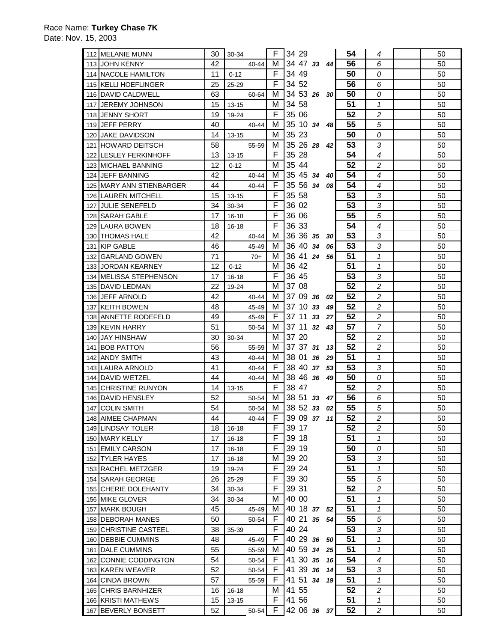| 112 IMELANIE MUNN                   | 30       | 30-34                  | F      | 34 29          |          |                 | 54       | 4                       | 50       |
|-------------------------------------|----------|------------------------|--------|----------------|----------|-----------------|----------|-------------------------|----------|
| 113 JOHN KENNY                      | 42       | 40-44                  | м      | 34 47 33       |          | 44              | 56       | 6                       | 50       |
| 114 NACOLE HAMILTON                 | 11       | $0 - 12$               | F      | 34 49          |          |                 | 50       | 0                       | 50       |
| 115 KELLI HOEFLINGER                | 25       | 25-29                  | F      | 34 52          |          |                 | 56       | 6                       | 50       |
| 116 DAVID CALDWELL                  | 63       | 60-64                  | м      | 34 53 26       |          | 30 <sub>l</sub> | 50       | 0                       | 50       |
| 117 JEREMY JOHNSON                  | 15       | $13 - 15$              | м      | 34 58          |          |                 | 51       | $\mathbf{1}$            | 50       |
| 118 JENNY SHORT                     | 19       | 19-24                  | F      | 35 06          |          |                 | 52       | 2                       | 50       |
| 119 JEFF PERRY                      | 40       | 40-44                  | м      | 35 10 34       | 48       |                 | 55       | 5                       | 50       |
| 120 JAKE DAVIDSON                   | 14       | $13 - 15$              | м      | 35 23          |          |                 | 50       | 0                       | 50       |
| 121 HOWARD DEITSCH                  | 58       | 55-59                  | м      | 35 26 28       |          | 42              | 53       | 3                       | 50       |
| 122 LESLEY FERKINHOFF               | 13       | $13 - 15$              | F      | 35 28          |          |                 | 54       | 4                       | 50       |
| 123 MICHAEL BANNING                 | 12       | $0 - 12$               | м      | 35 44          |          |                 | 52       | 2                       | 50       |
| 124 IJEFF BANNING                   | 42       | 40-44                  | м      | 35 45 34       |          | 40              | 54       | 4                       | 50       |
| 125 MARY ANN STIENBARGER            | 44       | 40-44                  | F      | 35 56 34       |          | 08              | 54       | 4                       | 50       |
| 126 LAUREN MITCHELL                 | 15       | $13 - 15$              | F      | 35 58          |          |                 | 53       | 3                       | 50       |
| 127 JULIE SENEFELD                  | 34       | 30-34                  | F      | 36 02          |          |                 | 53       | 3                       | 50       |
| 128 SARAH GABLE                     | 17       | 16-18                  | F      | 36 06          |          |                 | 55       | 5                       | 50       |
| 129 LAURA BOWEN                     | 18       | 16-18                  | F      | 36 33          |          |                 | 54       | $\overline{4}$          | 50       |
| 130 <b>THOMAS HALE</b>              | 42       | 40-44                  | м      | 36 36 35       | 30       |                 | 53       | 3                       | 50       |
| 131 KIP GABLE                       | 46       | 45-49                  | м      | 36 40 34       |          | 06              | 53       | 3                       | 50       |
| 132 GARLAND GOWEN                   | 71       | $70+$                  | м      | 36 41 24       |          | 56              | 51       | 1                       | 50       |
| 133 JORDAN KEARNEY                  | 12       | $0 - 12$               | м      | 36 42          |          |                 | 51       | $\mathbf{1}$            | 50       |
| 134 MELISSA STEPHENSON              | 17       | 16-18                  | F      | 36 45          |          |                 | 53       | 3                       | 50       |
| 135 DAVID LEDMAN                    | 22       | 19-24                  | м      | 37 08          |          |                 | 52       | $\overline{c}$          | 50       |
| 136 JEFF ARNOLD                     | 42       | 40-44                  | м      | 37 09 36       |          | 02              | 52       | $\overline{c}$          | 50       |
| 137 KEITH BOWEN                     | 48       | 45-49                  | м      | 37 10          | 33       | 49              | 52       | $\overline{c}$          | 50       |
| 138 ANNETTE RODEFELD                | 49       | 45-49                  | F      | 37 11          | 27<br>33 |                 | 52       | 2                       | 50       |
| 139 KEVIN HARRY                     | 51       | 50-54                  | м      | 37 11 32       |          | 43              | 57       | 7                       | 50       |
| 140 JAY HINSHAW                     | 30       | 30-34                  | м      | 37 20          |          |                 | 52       | $\overline{c}$          | 50       |
| 141 BOB PATTON                      | 56       | 55-59                  | м      |                |          | 13 <sup>1</sup> | 52       | 2                       |          |
|                                     |          |                        |        |                |          |                 |          |                         |          |
|                                     |          |                        |        | 37 37 31       |          |                 |          |                         | 50       |
| 142 ANDY SMITH                      | 43       | 40-44                  | м      | 38 01          | 36<br>29 |                 | 51       | $\mathcal I$            | 50       |
| 143 LAURA ARNOLD                    | 41       | 40-44                  | F      | 38 40 37       | 53       |                 | 53       | 3                       | 50       |
| 144 DAVID WETZEL                    | 44       | 40-44                  | м      | 38 46 36       | 49       |                 | 50       | 0                       | 50       |
| 145 CHRISTINE RUNYON                | 14       | 13-15                  | F      | 38 47          |          |                 | 52       | 2                       | 50       |
| 146 DAVID HENSLEY                   | 52       | 50-54                  | M      | 38 51 33       | 47       |                 | 56       | 6                       | 50       |
| 147 COLIN SMITH                     | 54       | 50-54                  | м      | 38 52 33       |          | 02              | 55       | 5                       | 50       |
| 148 AIMEE CHAPMAN                   | 44       | 40-44                  | F      | 39 09 37 11    |          |                 | 52       | 2                       | 50       |
| 149 LINDSAY TOLER<br>150 MARY KELLY | 18       | $16 - 18$              | F<br>F | 39 17<br>39 18 |          |                 | 52       | 2<br>$\mathcal I$       | 50<br>50 |
| 151 EMILY CARSON                    | 17<br>17 | $16 - 18$<br>$16 - 18$ | F      | 39 19          |          |                 | 51<br>50 | 0                       | 50       |
| 152 TYLER HAYES                     | 17       | $16 - 18$              | м      | 39 20          |          |                 | 53       | 3                       | 50       |
| 153 RACHEL METZGER                  | 19       | 19-24                  | F      | 39 24          |          |                 | 51       | $\mathcal I$            | 50       |
| 154 SARAH GEORGE                    | 26       | 25-29                  | F      | 39 30          |          |                 | 55       | 5                       | 50       |
| 155 CHERIE DOLEHANTY                | 34       | 30-34                  | F      | 39 31          |          |                 | 52       | $\overline{\mathbf{c}}$ | 50       |
| 156 MIKE GLOVER                     | 34       | 30-34                  | М      | 40 00          |          |                 | 51       | 1                       | 50       |
| 157 MARK BOUGH                      | 45       | 45-49                  | м      | 40 18 37 52    |          |                 | 51       | 1                       | 50       |
| 158 DEBORAH MANES                   | 50       | 50-54                  | F      | 40 21 35       | 54       |                 | 55       | 5                       | 50       |
| 159 CHRISTINE CASTEEL               | 38       | 35-39                  | F      | 40 24          |          |                 | 53       | 3                       | 50       |
| 160 DEBBIE CUMMINS                  | 48       | 45-49                  | F      | 40 29 36       | 50       |                 | 51       | $\mathcal I$            | 50       |
| 161 DALE CUMMINS                    | 55       | 55-59                  | м      | 40 59 34       | 25       |                 | 51       | 1                       | 50       |
| 162 CONNIE CODDINGTON               | 54       | 50-54                  | F      | 41 30 35       |          | 16              | 54       | 4                       | 50       |
| 163 KAREN WEAVER                    | 52       | 50-54                  | F      | 41 39 36       |          | 14              | 53       | 3                       | 50       |
| 164 CINDA BROWN                     | 57       | 55-59                  | F      | 41 51 34       |          | 19              | 51       | $\mathcal I$            | 50       |
| 165 CHRIS BARNHIZER                 | 16       | 16-18                  | м      | 41 55          |          |                 | 52       | 2                       | 50       |
| 166 KRISTI MATHEWS                  | 15       | 13-15                  | F      | 41 56          |          |                 | 51       | $\mathcal I$            | 50       |